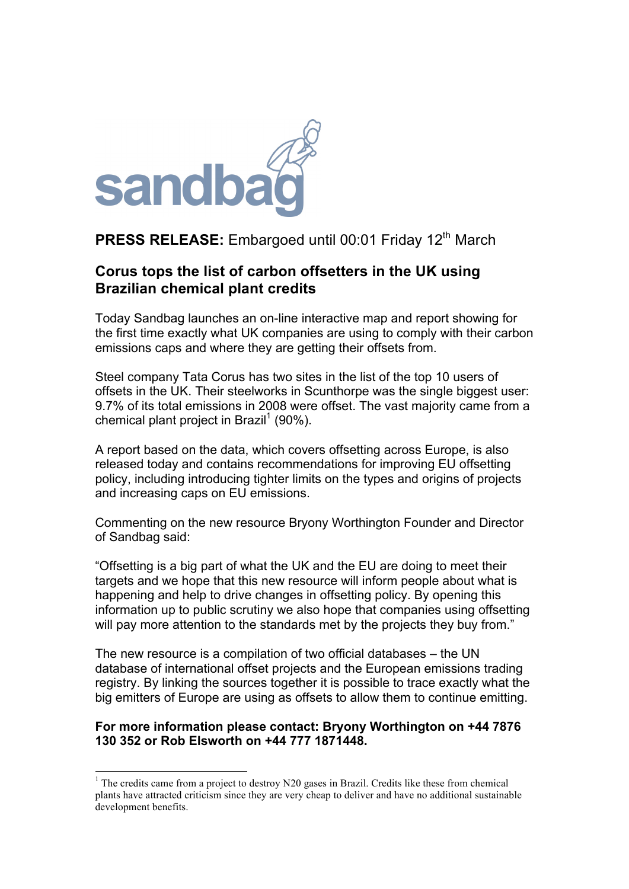

## **PRESS RELEASE:** Embargoed until 00:01 Friday 12<sup>th</sup> March

### **Corus tops the list of carbon offsetters in the UK using Brazilian chemical plant credits**

Today Sandbag launches an on-line interactive map and report showing for the first time exactly what UK companies are using to comply with their carbon emissions caps and where they are getting their offsets from.

Steel company Tata Corus has two sites in the list of the top 10 users of offsets in the UK. Their steelworks in Scunthorpe was the single biggest user: 9.7% of its total emissions in 2008 were offset. The vast majority came from a chemical plant project in Brazil<sup>1</sup> (90%).

A report based on the data, which covers offsetting across Europe, is also released today and contains recommendations for improving EU offsetting policy, including introducing tighter limits on the types and origins of projects and increasing caps on EU emissions.

Commenting on the new resource Bryony Worthington Founder and Director of Sandbag said:

"Offsetting is a big part of what the UK and the EU are doing to meet their targets and we hope that this new resource will inform people about what is happening and help to drive changes in offsetting policy. By opening this information up to public scrutiny we also hope that companies using offsetting will pay more attention to the standards met by the projects they buy from."

The new resource is a compilation of two official databases – the UN database of international offset projects and the European emissions trading registry. By linking the sources together it is possible to trace exactly what the big emitters of Europe are using as offsets to allow them to continue emitting.

#### **For more information please contact: Bryony Worthington on +44 7876 130 352 or Rob Elsworth on +44 777 1871448.**

<sup>&</sup>lt;sup>1</sup> The credits came from a project to destroy N20 gases in Brazil. Credits like these from chemical plants have attracted criticism since they are very cheap to deliver and have no additional sustainable development benefits.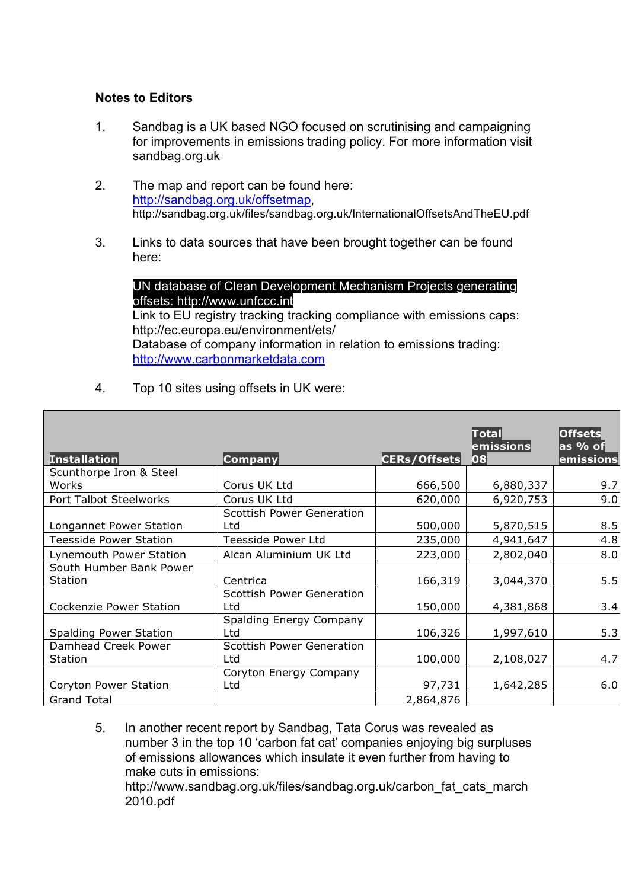#### **Notes to Editors**

2010.pdf

- 1. Sandbag is a UK based NGO focused on scrutinising and campaigning for improvements in emissions trading policy. For more information visit sandbag.org.uk
- 2. The map and report can be found here: http://sandbag.org.uk/offsetmap, http://sandbag.org.uk/files/sandbag.org.uk/InternationalOffsetsAndTheEU.pdf
- 3. Links to data sources that have been brought together can be found here:

#### UN database of Clean Development Mechanism Projects generating offsets: http://www.unfccc.int

Link to EU registry tracking tracking compliance with emissions caps: http://ec.europa.eu/environment/ets/ Database of company information in relation to emissions trading: http://www.carbonmarketdata.com

4. Top 10 sites using offsets in UK were:

| <b>Installation</b>                   | Company                                 | <b>CERs/Offsets</b> | $\vert$ Total $\vert$<br>$ $ emissions $ $<br>08 | <b>Offsets</b><br>as % of<br>emissions |
|---------------------------------------|-----------------------------------------|---------------------|--------------------------------------------------|----------------------------------------|
| Scunthorpe Iron & Steel               |                                         |                     |                                                  |                                        |
| Works                                 | Corus UK Ltd                            | 666,500             | 6,880,337                                        | 9.7                                    |
| Port Talbot Steelworks                | Corus UK Ltd                            | 620,000             | 6,920,753                                        | 9.0                                    |
|                                       | <b>Scottish Power Generation</b>        |                     |                                                  |                                        |
| Longannet Power Station               | Ltd                                     | 500,000             | 5,870,515                                        | 8.5                                    |
| <b>Teesside Power Station</b>         | Teesside Power Ltd                      | 235,000             | 4,941,647                                        | 4.8                                    |
| Lynemouth Power Station               | Alcan Aluminium UK Ltd                  | 223,000             | 2,802,040                                        | 8.0                                    |
| South Humber Bank Power               |                                         |                     |                                                  |                                        |
| <b>Station</b>                        | Centrica                                | 166,319             | 3,044,370                                        | 5.5                                    |
| <b>Cockenzie Power Station</b>        | <b>Scottish Power Generation</b><br>Ltd | 150,000             | 4,381,868                                        | 3.4                                    |
| <b>Spalding Power Station</b>         | Spalding Energy Company<br>Ltd          | 106,326             | 1,997,610                                        | 5.3                                    |
| Damhead Creek Power<br><b>Station</b> | <b>Scottish Power Generation</b><br>Ltd | 100,000             | 2,108,027                                        | 4.7                                    |
| Coryton Power Station                 | Coryton Energy Company<br>Ltd           | 97,731              | 1,642,285                                        | 6.0                                    |
| <b>Grand Total</b>                    |                                         | 2,864,876           |                                                  |                                        |

5. In another recent report by Sandbag, Tata Corus was revealed as number 3 in the top 10 'carbon fat cat' companies enjoying big surpluses of emissions allowances which insulate it even further from having to make cuts in emissions: http://www.sandbag.org.uk/files/sandbag.org.uk/carbon\_fat\_cats\_march